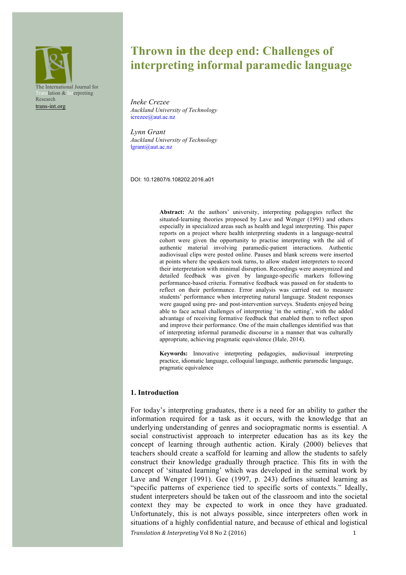The International Journal for nslation & Interpreting Research trans-int.org

# **Thrown in the deep end: Challenges of interpreting informal paramedic language**

*Ineke Crezee Auckland University of Technology* icrezee@aut.ac.nz

*Lynn Grant Auckland University of Technology*  lgrant@aut.ac.nz

DOI: 10.12807/ti.108202.2016.a01

**Abstract:** At the authors' university, interpreting pedagogies reflect the situated-learning theories proposed by Lave and Wenger (1991) and others especially in specialized areas such as health and legal interpreting. This paper reports on a project where health interpreting students in a language-neutral cohort were given the opportunity to practise interpreting with the aid of authentic material involving paramedic-patient interactions. Authentic audiovisual clips were posted online. Pauses and blank screens were inserted at points where the speakers took turns, to allow student interpreters to record their interpretation with minimal disruption. Recordings were anonymized and detailed feedback was given by language-specific markers following performance-based criteria. Formative feedback was passed on for students to reflect on their performance. Error analysis was carried out to measure students' performance when interpreting natural language. Student responses were gauged using pre- and post-intervention surveys. Students enjoyed being able to face actual challenges of interpreting 'in the setting', with the added advantage of receiving formative feedback that enabled them to reflect upon and improve their performance. One of the main challenges identified was that of interpreting informal paramedic discourse in a manner that was culturally appropriate, achieving pragmatic equivalence (Hale, 2014).

**Keywords:** Innovative interpreting pedagogies, audiovisual interpreting practice, idiomatic language, colloquial language, authentic paramedic language, pragmatic equivalence

#### **1. Introduction**

*Translation & Interpreting* Vol 8 No 2 (2016) 1 For today's interpreting graduates, there is a need for an ability to gather the information required for a task as it occurs, with the knowledge that an underlying understanding of genres and sociopragmatic norms is essential. A social constructivist approach to interpreter education has as its key the concept of learning through authentic action. Kiraly (2000) believes that teachers should create a scaffold for learning and allow the students to safely construct their knowledge gradually through practice. This fits in with the concept of 'situated learning' which was developed in the seminal work by Lave and Wenger (1991). Gee (1997, p. 243) defines situated learning as "specific patterns of experience tied to specific sorts of contexts." Ideally, student interpreters should be taken out of the classroom and into the societal context they may be expected to work in once they have graduated. Unfortunately, this is not always possible, since interpreters often work in situations of a highly confidential nature, and because of ethical and logistical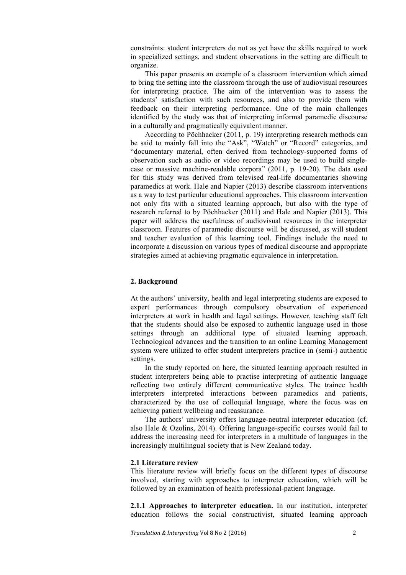constraints: student interpreters do not as yet have the skills required to work in specialized settings, and student observations in the setting are difficult to organize.

This paper presents an example of a classroom intervention which aimed to bring the setting into the classroom through the use of audiovisual resources for interpreting practice. The aim of the intervention was to assess the students' satisfaction with such resources, and also to provide them with feedback on their interpreting performance. One of the main challenges identified by the study was that of interpreting informal paramedic discourse in a culturally and pragmatically equivalent manner.

According to Pöchhacker (2011, p. 19) interpreting research methods can be said to mainly fall into the "Ask", "Watch" or "Record" categories, and "documentary material, often derived from technology-supported forms of observation such as audio or video recordings may be used to build singlecase or massive machine-readable corpora" (2011, p. 19-20). The data used for this study was derived from televised real-life documentaries showing paramedics at work. Hale and Napier (2013) describe classroom interventions as a way to test particular educational approaches. This classroom intervention not only fits with a situated learning approach, but also with the type of research referred to by Pöchhacker (2011) and Hale and Napier (2013). This paper will address the usefulness of audiovisual resources in the interpreter classroom. Features of paramedic discourse will be discussed, as will student and teacher evaluation of this learning tool. Findings include the need to incorporate a discussion on various types of medical discourse and appropriate strategies aimed at achieving pragmatic equivalence in interpretation.

## **2. Background**

At the authors' university, health and legal interpreting students are exposed to expert performances through compulsory observation of experienced interpreters at work in health and legal settings. However, teaching staff felt that the students should also be exposed to authentic language used in those settings through an additional type of situated learning approach. Technological advances and the transition to an online Learning Management system were utilized to offer student interpreters practice in (semi-) authentic settings.

In the study reported on here, the situated learning approach resulted in student interpreters being able to practise interpreting of authentic language reflecting two entirely different communicative styles. The trainee health interpreters interpreted interactions between paramedics and patients, characterized by the use of colloquial language, where the focus was on achieving patient wellbeing and reassurance.

The authors' university offers language-neutral interpreter education (cf. also Hale & Ozolins, 2014). Offering language-specific courses would fail to address the increasing need for interpreters in a multitude of languages in the increasingly multilingual society that is New Zealand today.

#### **2.1 Literature review**

This literature review will briefly focus on the different types of discourse involved, starting with approaches to interpreter education, which will be followed by an examination of health professional-patient language.

**2.1.1 Approaches to interpreter education.** In our institution, interpreter education follows the social constructivist, situated learning approach

*Translation & Interpreting* Vol 8 No 2 (2016) 2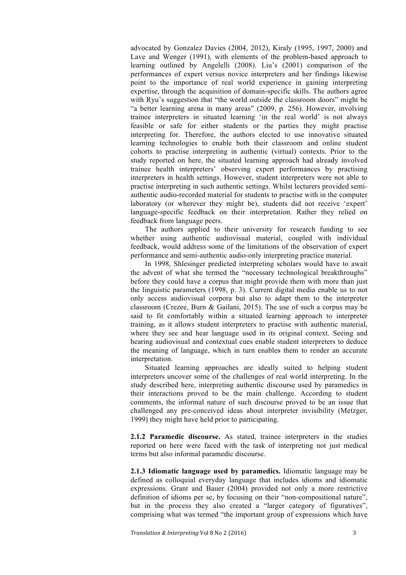advocated by Gonzalez Davies (2004, 2012), Kiraly (1995, 1997, 2000) and Lave and Wenger (1991), with elements of the problem-based approach to learning outlined by Angelelli (2008). Liu's (2001) comparison of the performances of expert versus novice interpreters and her findings likewise point to the importance of real world experience in gaining interpreting expertise, through the acquisition of domain-specific skills. The authors agree with Ryu's suggestion that "the world outside the classroom doors" might be "a better learning arena in many areas" (2009, p. 256). However, involving trainee interpreters in situated learning 'in the real world' is not always feasible or safe for either students or the parties they might practise interpreting for. Therefore, the authors elected to use innovative situated learning technologies to enable both their classroom and online student cohorts to practise interpreting in authentic (virtual) contexts. Prior to the study reported on here, the situated learning approach had already involved trainee health interpreters' observing expert performances by practising interpreters in health settings. However, student interpreters were not able to practise interpreting in such authentic settings. Whilst lecturers provided semiauthentic audio-recorded material for students to practise with in the computer laboratory (or wherever they might be), students did not receive 'expert' language-specific feedback on their interpretation. Rather they relied on feedback from language peers.

The authors applied to their university for research funding to see whether using authentic audiovisual material, coupled with individual feedback, would address some of the limitations of the observation of expert performance and semi-authentic audio-only interpreting practice material.

In 1998, Shlesinger predicted interpreting scholars would have to await the advent of what she termed the "necessary technological breakthroughs" before they could have a corpus that might provide them with more than just the linguistic parameters (1998, p. 3). Current digital media enable us to not only access audiovisual corpora but also to adapt them to the interpreter classroom (Crezee, Burn & Gailani, 2015). The use of such a corpus may be said to fit comfortably within a situated learning approach to interpreter training, as it allows student interpreters to practise with authentic material, where they see and hear language used in its original context. Seeing and hearing audiovisual and contextual cues enable student interpreters to deduce the meaning of language, which in turn enables them to render an accurate interpretation.

Situated learning approaches are ideally suited to helping student interpreters uncover some of the challenges of real world interpreting. In the study described here, interpreting authentic discourse used by paramedics in their interactions proved to be the main challenge. According to student comments, the informal nature of such discourse proved to be an issue that challenged any pre-conceived ideas about interpreter invisibility (Metzger, 1999) they might have held prior to participating.

**2.1.2 Paramedic discourse.** As stated, trainee interpreters in the studies reported on here were faced with the task of interpreting not just medical terms but also informal paramedic discourse.

**2.1.3 Idiomatic language used by paramedics.** Idiomatic language may be defined as colloquial everyday language that includes idioms and idiomatic expressions. Grant and Bauer (2004) provided not only a more restrictive definition of idioms per se, by focusing on their "non-compositional nature", but in the process they also created a "larger category of figuratives", comprising what was termed "the important group of expressions which have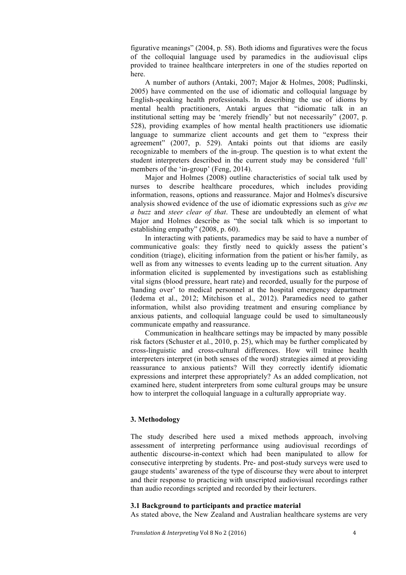figurative meanings" (2004, p. 58). Both idioms and figuratives were the focus of the colloquial language used by paramedics in the audiovisual clips provided to trainee healthcare interpreters in one of the studies reported on here.

A number of authors (Antaki, 2007; Major & Holmes, 2008; Pudlinski, 2005) have commented on the use of idiomatic and colloquial language by English-speaking health professionals. In describing the use of idioms by mental health practitioners, Antaki argues that "idiomatic talk in an institutional setting may be 'merely friendly' but not necessarily" (2007, p. 528), providing examples of how mental health practitioners use idiomatic language to summarize client accounts and get them to "express their agreement" (2007, p. 529). Antaki points out that idioms are easily recognizable to members of the in-group. The question is to what extent the student interpreters described in the current study may be considered 'full' members of the 'in-group' (Feng, 2014).

Major and Holmes (2008) outline characteristics of social talk used by nurses to describe healthcare procedures, which includes providing information, reasons, options and reassurance. Major and Holmes's discursive analysis showed evidence of the use of idiomatic expressions such as *give me a buzz* and *steer clear of that*. These are undoubtedly an element of what Major and Holmes describe as "the social talk which is so important to establishing empathy" (2008, p. 60).

In interacting with patients, paramedics may be said to have a number of communicative goals: they firstly need to quickly assess the patient's condition (triage), eliciting information from the patient or his/her family, as well as from any witnesses to events leading up to the current situation. Any information elicited is supplemented by investigations such as establishing vital signs (blood pressure, heart rate) and recorded, usually for the purpose of 'handing over' to medical personnel at the hospital emergency department (Iedema et al., 2012; Mitchison et al., 2012). Paramedics need to gather information, whilst also providing treatment and ensuring compliance by anxious patients, and colloquial language could be used to simultaneously communicate empathy and reassurance.

Communication in healthcare settings may be impacted by many possible risk factors (Schuster et al., 2010, p. 25), which may be further complicated by cross-linguistic and cross-cultural differences. How will trainee health interpreters interpret (in both senses of the word) strategies aimed at providing reassurance to anxious patients? Will they correctly identify idiomatic expressions and interpret these appropriately? As an added complication, not examined here, student interpreters from some cultural groups may be unsure how to interpret the colloquial language in a culturally appropriate way.

## **3. Methodology**

The study described here used a mixed methods approach, involving assessment of interpreting performance using audiovisual recordings of authentic discourse-in-context which had been manipulated to allow for consecutive interpreting by students. Pre- and post-study surveys were used to gauge students' awareness of the type of discourse they were about to interpret and their response to practicing with unscripted audiovisual recordings rather than audio recordings scripted and recorded by their lecturers.

#### **3.1 Background to participants and practice material**

As stated above, the New Zealand and Australian healthcare systems are very

*Translation & Interpreting* Vol 8 No 2 (2016) 4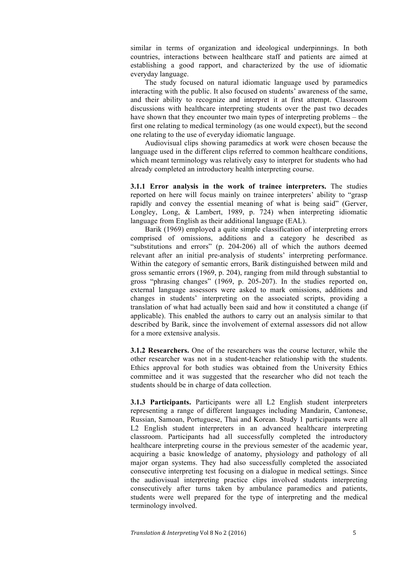similar in terms of organization and ideological underpinnings. In both countries, interactions between healthcare staff and patients are aimed at establishing a good rapport, and characterized by the use of idiomatic everyday language.

The study focused on natural idiomatic language used by paramedics interacting with the public. It also focused on students' awareness of the same, and their ability to recognize and interpret it at first attempt. Classroom discussions with healthcare interpreting students over the past two decades have shown that they encounter two main types of interpreting problems – the first one relating to medical terminology (as one would expect), but the second one relating to the use of everyday idiomatic language.

Audiovisual clips showing paramedics at work were chosen because the language used in the different clips referred to common healthcare conditions, which meant terminology was relatively easy to interpret for students who had already completed an introductory health interpreting course.

**3.1.1 Error analysis in the work of trainee interpreters.** The studies reported on here will focus mainly on trainee interpreters' ability to "grasp rapidly and convey the essential meaning of what is being said" (Gerver, Longley, Long, & Lambert, 1989, p. 724) when interpreting idiomatic language from English as their additional language (EAL).

Barik (1969) employed a quite simple classification of interpreting errors comprised of omissions, additions and a category he described as "substitutions and errors" (p. 204-206) all of which the authors deemed relevant after an initial pre-analysis of students' interpreting performance. Within the category of semantic errors, Barik distinguished between mild and gross semantic errors (1969, p. 204), ranging from mild through substantial to gross "phrasing changes" (1969, p. 205-207). In the studies reported on, external language assessors were asked to mark omissions, additions and changes in students' interpreting on the associated scripts, providing a translation of what had actually been said and how it constituted a change (if applicable). This enabled the authors to carry out an analysis similar to that described by Barik, since the involvement of external assessors did not allow for a more extensive analysis.

**3.1.2 Researchers.** One of the researchers was the course lecturer, while the other researcher was not in a student-teacher relationship with the students. Ethics approval for both studies was obtained from the University Ethics committee and it was suggested that the researcher who did not teach the students should be in charge of data collection.

**3.1.3 Participants.** Participants were all L2 English student interpreters representing a range of different languages including Mandarin, Cantonese, Russian, Samoan, Portuguese, Thai and Korean. Study 1 participants were all L2 English student interpreters in an advanced healthcare interpreting classroom. Participants had all successfully completed the introductory healthcare interpreting course in the previous semester of the academic year, acquiring a basic knowledge of anatomy, physiology and pathology of all major organ systems. They had also successfully completed the associated consecutive interpreting test focusing on a dialogue in medical settings. Since the audiovisual interpreting practice clips involved students interpreting consecutively after turns taken by ambulance paramedics and patients, students were well prepared for the type of interpreting and the medical terminology involved.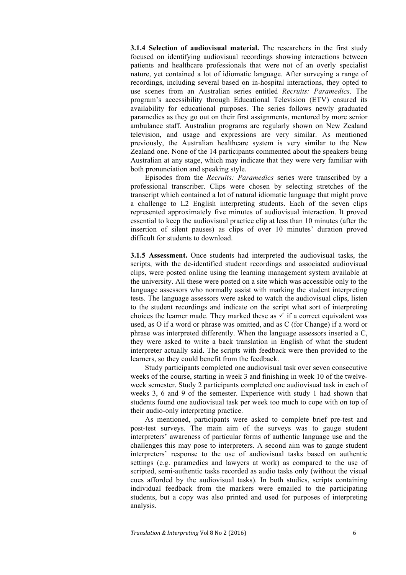**3.1.4 Selection of audiovisual material.** The researchers in the first study focused on identifying audiovisual recordings showing interactions between patients and healthcare professionals that were not of an overly specialist nature, yet contained a lot of idiomatic language. After surveying a range of recordings, including several based on in-hospital interactions, they opted to use scenes from an Australian series entitled *Recruits: Paramedics*. The program's accessibility through Educational Television (ETV) ensured its availability for educational purposes. The series follows newly graduated paramedics as they go out on their first assignments, mentored by more senior ambulance staff. Australian programs are regularly shown on New Zealand television, and usage and expressions are very similar. As mentioned previously, the Australian healthcare system is very similar to the New Zealand one. None of the 14 participants commented about the speakers being Australian at any stage, which may indicate that they were very familiar with both pronunciation and speaking style.

Episodes from the *Recruits: Paramedics* series were transcribed by a professional transcriber. Clips were chosen by selecting stretches of the transcript which contained a lot of natural idiomatic language that might prove a challenge to L2 English interpreting students. Each of the seven clips represented approximately five minutes of audiovisual interaction. It proved essential to keep the audiovisual practice clip at less than 10 minutes (after the insertion of silent pauses) as clips of over 10 minutes' duration proved difficult for students to download.

**3.1.5 Assessment.** Once students had interpreted the audiovisual tasks, the scripts, with the de-identified student recordings and associated audiovisual clips, were posted online using the learning management system available at the university. All these were posted on a site which was accessible only to the language assessors who normally assist with marking the student interpreting tests. The language assessors were asked to watch the audiovisual clips, listen to the student recordings and indicate on the script what sort of interpreting choices the learner made. They marked these as  $\checkmark$  if a correct equivalent was used, as O if a word or phrase was omitted, and as C (for Change) if a word or phrase was interpreted differently. When the language assessors inserted a C, they were asked to write a back translation in English of what the student interpreter actually said. The scripts with feedback were then provided to the learners, so they could benefit from the feedback.

Study participants completed one audiovisual task over seven consecutive weeks of the course, starting in week 3 and finishing in week 10 of the twelveweek semester. Study 2 participants completed one audiovisual task in each of weeks 3, 6 and 9 of the semester. Experience with study 1 had shown that students found one audiovisual task per week too much to cope with on top of their audio-only interpreting practice.

As mentioned, participants were asked to complete brief pre-test and post-test surveys. The main aim of the surveys was to gauge student interpreters' awareness of particular forms of authentic language use and the challenges this may pose to interpreters. A second aim was to gauge student interpreters' response to the use of audiovisual tasks based on authentic settings (e.g. paramedics and lawyers at work) as compared to the use of scripted, semi-authentic tasks recorded as audio tasks only (without the visual cues afforded by the audiovisual tasks). In both studies, scripts containing individual feedback from the markers were emailed to the participating students, but a copy was also printed and used for purposes of interpreting analysis.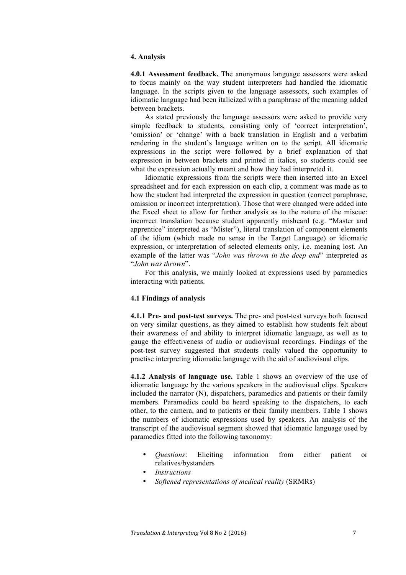## **4. Analysis**

**4.0.1 Assessment feedback.** The anonymous language assessors were asked to focus mainly on the way student interpreters had handled the idiomatic language. In the scripts given to the language assessors, such examples of idiomatic language had been italicized with a paraphrase of the meaning added between brackets.

As stated previously the language assessors were asked to provide very simple feedback to students, consisting only of 'correct interpretation', 'omission' or 'change' with a back translation in English and a verbatim rendering in the student's language written on to the script. All idiomatic expressions in the script were followed by a brief explanation of that expression in between brackets and printed in italics, so students could see what the expression actually meant and how they had interpreted it.

Idiomatic expressions from the scripts were then inserted into an Excel spreadsheet and for each expression on each clip, a comment was made as to how the student had interpreted the expression in question (correct paraphrase, omission or incorrect interpretation). Those that were changed were added into the Excel sheet to allow for further analysis as to the nature of the miscue: incorrect translation because student apparently misheard (e.g. "Master and apprentice" interpreted as "Mister"), literal translation of component elements of the idiom (which made no sense in the Target Language) or idiomatic expression, or interpretation of selected elements only, i.e. meaning lost. An example of the latter was "*John was thrown in the deep end*" interpreted as "*John was thrown*".

For this analysis, we mainly looked at expressions used by paramedics interacting with patients.

## **4.1 Findings of analysis**

**4.1.1 Pre- and post-test surveys.** The pre- and post-test surveys both focused on very similar questions, as they aimed to establish how students felt about their awareness of and ability to interpret idiomatic language, as well as to gauge the effectiveness of audio or audiovisual recordings. Findings of the post-test survey suggested that students really valued the opportunity to practise interpreting idiomatic language with the aid of audiovisual clips.

**4.1.2 Analysis of language use.** Table 1 shows an overview of the use of idiomatic language by the various speakers in the audiovisual clips. Speakers included the narrator (N), dispatchers, paramedics and patients or their family members. Paramedics could be heard speaking to the dispatchers, to each other, to the camera, and to patients or their family members. Table 1 shows the numbers of idiomatic expressions used by speakers. An analysis of the transcript of the audiovisual segment showed that idiomatic language used by paramedics fitted into the following taxonomy:

- *Questions*: Eliciting information from either patient or relatives/bystanders
- *Instructions*
- *Softened representations of medical reality* (SRMRs)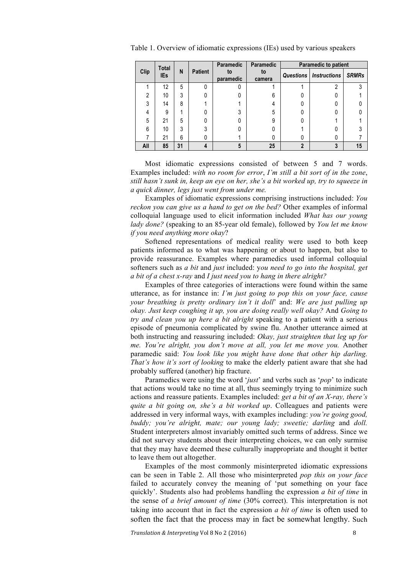|      | Total      |    |                | <b>Paramedic</b> | <b>Paramedic</b> | <b>Paramedic to patient</b> |                               |              |
|------|------------|----|----------------|------------------|------------------|-----------------------------|-------------------------------|--------------|
| Clip | <b>IEs</b> | N  | <b>Patient</b> | to<br>paramedic  | to<br>camera     |                             | <b>Questions</b> Instructions | <b>SRMRs</b> |
|      | 12         | 5  | U              |                  |                  |                             | າ                             | 3            |
| 2    | 10         | 3  |                |                  | 6                |                             |                               |              |
| 3    | 14         | 8  |                |                  | 4                |                             |                               |              |
| 4    | 9          |    |                | 3                | 5                |                             |                               |              |
| 5    | 21         | 5  |                |                  | 9                |                             |                               |              |
| 6    | 10         | 3  | 3              | ი                |                  |                             |                               |              |
|      | 21         | 6  | 0              |                  |                  | 0                           |                               |              |
| All  | 85         | 31 | 4              | 5                | 25               | 2                           | 3                             | 15           |

Table 1. Overview of idiomatic expressions (IEs) used by various speakers

Most idiomatic expressions consisted of between 5 and 7 words. Examples included: *with no room for error*, *I'm still a bit sort of in the zone*, *still hasn't sunk in, keep an eye on her, she's a bit worked up, try to squeeze in a quick dinner, legs just went from under me.*

Examples of idiomatic expressions comprising instructions included: *You reckon you can give us a hand to get on the bed?* Other examples of informal colloquial language used to elicit information included *What has our young lady done?* (speaking to an 85-year old female), followed by *You let me know if you need anything more okay*?

Softened representations of medical reality were used to both keep patients informed as to what was happening or about to happen, but also to provide reassurance. Examples where paramedics used informal colloquial softeners such as *a bit* and *just* included: y*ou need to go into the hospital, get a bit of a chest x-ray* and *I just need you to hang in there alright?*

Examples of three categories of interactions were found within the same utterance, as for instance in: *I'm just going to pop this on your face, cause your breathing is pretty ordinary isn't it doll*' and: *We are just pulling up okay. Just keep coughing it up, you are doing really well okay?* And *Going to try and clean you up here a bit alright* speaking to a patient with a serious episode of pneumonia complicated by swine flu. Another utterance aimed at both instructing and reassuring included: *Okay, just straighten that leg up for me. You're alright, you don't move at all, you let me move you.* Another paramedic said: *You look like you might have done that other hip darling. That's how it's sort of looking* to make the elderly patient aware that she had probably suffered (another) hip fracture.

Paramedics were using the word '*just*' and verbs such as '*pop*' to indicate that actions would take no time at all, thus seemingly trying to minimize such actions and reassure patients. Examples included: *get a bit of an X-ray, there's quite a bit going on, she's a bit worked up*. Colleagues and patients were addressed in very informal ways, with examples including: *you're going good, buddy; you're alright, mate; our young lady; sweetie; darling* and *doll.*  Student interpreters almost invariably omitted such terms of address. Since we did not survey students about their interpreting choices, we can only surmise that they may have deemed these culturally inappropriate and thought it better to leave them out altogether.

Examples of the most commonly misinterpreted idiomatic expressions can be seen in Table 2. All those who misinterpreted *pop this on your face* failed to accurately convey the meaning of 'put something on your face quickly'. Students also had problems handling the expression *a bit of time* in the sense of *a brief amount of time* (30% correct). This interpretation is not taking into account that in fact the expression *a bit of time* is often used to soften the fact that the process may in fact be somewhat lengthy. Such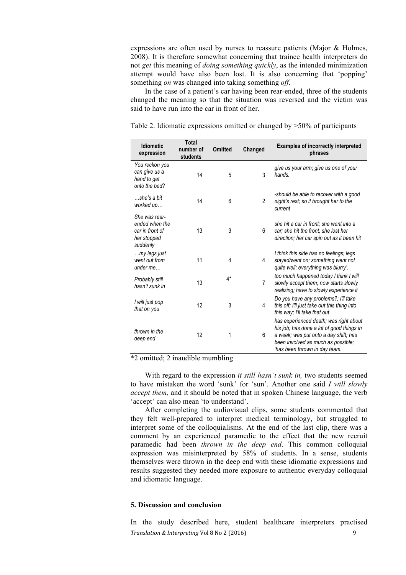expressions are often used by nurses to reassure patients (Major & Holmes, 2008). It is therefore somewhat concerning that trainee health interpreters do not *get* this meaning of *doing something quickly*, as the intended minimization attempt would have also been lost. It is also concerning that 'popping' something *on* was changed into taking something *off*.

In the case of a patient's car having been rear-ended, three of the students changed the meaning so that the situation was reversed and the victim was said to have run into the car in front of her.

| <b>Idiomatic</b><br>expression                                                | <b>Total</b><br>number of<br>students | <b>Omitted</b> | Changed        | <b>Examples of incorrectly interpreted</b><br>phrases                                                                                                                                               |
|-------------------------------------------------------------------------------|---------------------------------------|----------------|----------------|-----------------------------------------------------------------------------------------------------------------------------------------------------------------------------------------------------|
| You reckon you<br>can give us a<br>hand to get<br>onto the bed?               | 14                                    | 5              | 3              | give us your arm; give us one of your<br>hands.                                                                                                                                                     |
| she's a bit<br>worked up                                                      | 14                                    | 6              | $\overline{c}$ | -should be able to recover with a good<br>night's rest; so it brought her to the<br>current                                                                                                         |
| She was rear-<br>ended when the<br>car in front of<br>her stopped<br>suddenly | 13                                    | 3              | 6              | she hit a car in front; she went into a<br>car; she hit the front; she lost her<br>direction; her car spin out as it been hit                                                                       |
| my legs just<br>went out from<br>under me                                     | 11                                    | 4              | 4              | I think this side has no feelings; legs<br>stayed/went on; something went not<br>quite well; everything was blurry'.                                                                                |
| Probably still<br>hasn't sunk in                                              | 13                                    | $4*$           | $\overline{7}$ | too much happened today I think I will<br>slowly accept them; now starts slowly<br>realizing; have to slowly experience it                                                                          |
| I will just pop<br>that on you                                                | 12                                    | 3              | 4              | Do you have any problems?; I'll take<br>this off; I'll just take out this thing into<br>this way: I'll take that out                                                                                |
| thrown in the<br>deep end                                                     | 12                                    | 1              | 6              | has experienced death; was right about<br>his job; has done a lot of good things in<br>a week; was put onto a day shift; has<br>been involved as much as possible;<br>'has been thrown in day team. |

Table 2. Idiomatic expressions omitted or changed by >50% of participants

\*2 omitted; 2 inaudible mumbling

With regard to the expression *it still hasn't sunk in,* two students seemed to have mistaken the word 'sunk' for 'sun'. Another one said *I will slowly accept them,* and it should be noted that in spoken Chinese language, the verb 'accept' can also mean 'to understand'.

After completing the audiovisual clips, some students commented that they felt well-prepared to interpret medical terminology, but struggled to interpret some of the colloquialisms. At the end of the last clip, there was a comment by an experienced paramedic to the effect that the new recruit paramedic had been *thrown in the deep end*. This common colloquial expression was misinterpreted by 58% of students. In a sense, students themselves were thrown in the deep end with these idiomatic expressions and results suggested they needed more exposure to authentic everyday colloquial and idiomatic language.

# **5. Discussion and conclusion**

*Translation & Interpreting* Vol 8 No 2 (2016) 9 In the study described here, student healthcare interpreters practised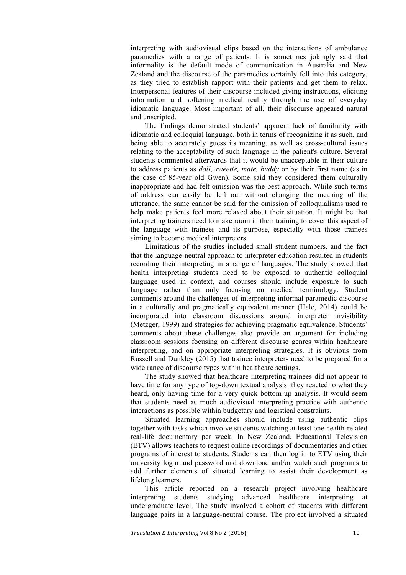interpreting with audiovisual clips based on the interactions of ambulance paramedics with a range of patients. It is sometimes jokingly said that informality is the default mode of communication in Australia and New Zealand and the discourse of the paramedics certainly fell into this category, as they tried to establish rapport with their patients and get them to relax. Interpersonal features of their discourse included giving instructions, eliciting information and softening medical reality through the use of everyday idiomatic language. Most important of all, their discourse appeared natural and unscripted.

The findings demonstrated students' apparent lack of familiarity with idiomatic and colloquial language, both in terms of recognizing it as such, and being able to accurately guess its meaning, as well as cross-cultural issues relating to the acceptability of such language in the patient's culture. Several students commented afterwards that it would be unacceptable in their culture to address patients as *doll*, *sweetie, mate, buddy* or by their first name (as in the case of 85-year old Gwen). Some said they considered them culturally inappropriate and had felt omission was the best approach. While such terms of address can easily be left out without changing the meaning of the utterance, the same cannot be said for the omission of colloquialisms used to help make patients feel more relaxed about their situation. It might be that interpreting trainers need to make room in their training to cover this aspect of the language with trainees and its purpose, especially with those trainees aiming to become medical interpreters.

Limitations of the studies included small student numbers, and the fact that the language-neutral approach to interpreter education resulted in students recording their interpreting in a range of languages. The study showed that health interpreting students need to be exposed to authentic colloquial language used in context, and courses should include exposure to such language rather than only focusing on medical terminology. Student comments around the challenges of interpreting informal paramedic discourse in a culturally and pragmatically equivalent manner (Hale, 2014) could be incorporated into classroom discussions around interpreter invisibility (Metzger, 1999) and strategies for achieving pragmatic equivalence. Students' comments about these challenges also provide an argument for including classroom sessions focusing on different discourse genres within healthcare interpreting, and on appropriate interpreting strategies. It is obvious from Russell and Dunkley (2015) that trainee interpreters need to be prepared for a wide range of discourse types within healthcare settings.

The study showed that healthcare interpreting trainees did not appear to have time for any type of top-down textual analysis: they reacted to what they heard, only having time for a very quick bottom-up analysis. It would seem that students need as much audiovisual interpreting practice with authentic interactions as possible within budgetary and logistical constraints.

Situated learning approaches should include using authentic clips together with tasks which involve students watching at least one health-related real-life documentary per week. In New Zealand, Educational Television (ETV) allows teachers to request online recordings of documentaries and other programs of interest to students. Students can then log in to ETV using their university login and password and download and/or watch such programs to add further elements of situated learning to assist their development as lifelong learners.

This article reported on a research project involving healthcare interpreting students studying advanced healthcare interpreting at undergraduate level. The study involved a cohort of students with different language pairs in a language-neutral course. The project involved a situated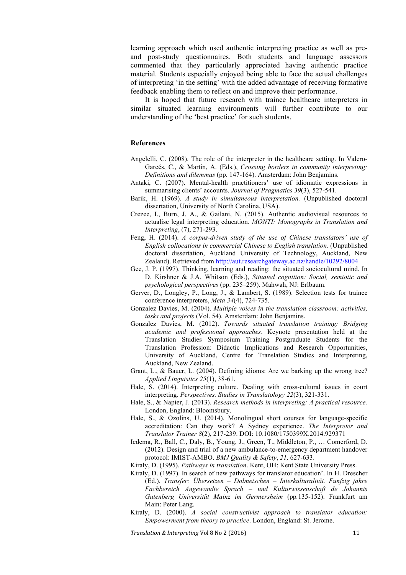learning approach which used authentic interpreting practice as well as preand post-study questionnaires. Both students and language assessors commented that they particularly appreciated having authentic practice material. Students especially enjoyed being able to face the actual challenges of interpreting 'in the setting' with the added advantage of receiving formative feedback enabling them to reflect on and improve their performance.

It is hoped that future research with trainee healthcare interpreters in similar situated learning environments will further contribute to our understanding of the 'best practice' for such students.

#### **References**

- Angelelli, C. (2008). The role of the interpreter in the healthcare setting. In Valero-Garcés, C., & Martin, A. (Eds.), *Crossing borders in community interpreting: Definitions and dilemmas* (pp. 147-164). Amsterdam: John Benjamins.
- Antaki, C. (2007). Mental-health practitioners' use of idiomatic expressions in summarising clients' accounts. *Journal of Pragmatics 39*(3), 527-541.
- Barik, H. (1969). *A study in simultaneous interpretation.* (Unpublished doctoral dissertation, University of North Carolina, USA).
- Crezee, I., Burn, J. A., & Gailani, N. (2015). Authentic audiovisual resources to actualise legal interpreting education. *MONTI: Monographs in Translation and Interpreting*, (7), 271-293.
- Feng, H. (2014). *A corpus-driven study of the use of Chinese translators' use of English collocations in commercial Chinese to English translation*. (Unpublished doctoral dissertation, Auckland University of Technology, Auckland, New Zealand). Retrieved from http://aut.researchgateway.ac.nz/handle/10292/8004
- Gee, J. P. (1997). Thinking, learning and reading: the situated sociocultural mind. In D. Kirshner & J.A. Whitson (Eds.), *Situated cognition: Social, semiotic and psychological perspectives* (pp. 235–259). Mahwah, NJ: Erlbaum.
- Gerver, D., Longley, P., Long, J., & Lambert, S. (1989). Selection tests for trainee conference interpreters, *Meta 34*(4), 724-735.
- Gonzalez Davies, M. (2004). *Multiple voices in the translation classroom: activities, tasks and projects* (Vol. 54). Amsterdam: John Benjamins.
- Gonzalez Davies, M. (2012). *Towards situated translation training: Bridging academic and professional approaches*. Keynote presentation held at the Translation Studies Symposium Training Postgraduate Students for the Translation Profession: Didactic Implications and Research Opportunities, University of Auckland, Centre for Translation Studies and Interpreting, Auckland, New Zealand.
- Grant, L., & Bauer, L. (2004). Defining idioms: Are we barking up the wrong tree? *Applied Linguistics 25*(1), 38-61.
- Hale, S. (2014). Interpreting culture. Dealing with cross-cultural issues in court interpreting. *Perspectives. Studies in Translatology 22*(3), 321-331.
- Hale, S., & Napier, J. (2013). *Research methods in interpreting: A practical resource.*  London, England: Bloomsbury.
- Hale, S., & Ozolins, U. (2014). Monolingual short courses for language-specific accreditation: Can they work? A Sydney experience. *The Interpreter and Translator Trainer 8*(2), 217-239. DOI: 10.1080/1750399X.2014.929371
- Iedema, R., Ball, C., Daly, B., Young, J., Green, T., Middleton, P., … Comerford, D. (2012). Design and trial of a new ambulance-to-emergency department handover protocol: IMIST-AMBO. *BMJ Quality & Safety*, *21,* 627-633.

Kiraly, D. (1995). *Pathways in translation*. Kent, OH: Kent State University Press.

- Kiraly, D. (1997). In search of new pathways for translator education'. In H. Drescher (Ed.), *Transfer: Übersetzen – Dolmetschen – Interkulturalität. Funfzig jahre Fachbereich Angewandte Sprach – und Kulturwissenschaft de Johannis Gutenberg Universität Mainz im Germersheim* (pp*.*135-152). Frankfurt am Main: Peter Lang.
- Kiraly, D. (2000). *A social constructivist approach to translator education: Empowerment from theory to practice*. London, England: St. Jerome.

*Translation & Interpreting* Vol 8 No 2 (2016) 11